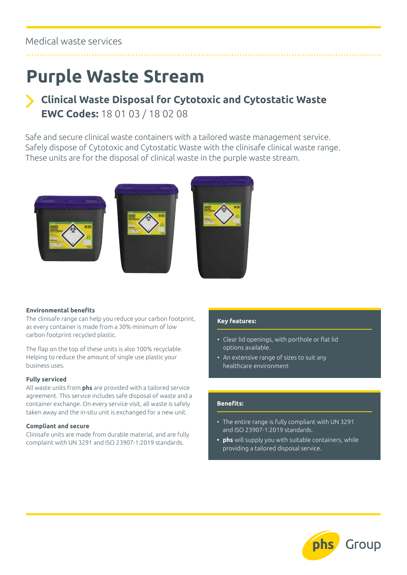## **Purple Waste Stream**

## **Clinical Waste Disposal for Cytotoxic and Cytostatic Waste EWC Codes:** 18 01 03 / 18 02 08

Safe and secure clinical waste containers with a tailored waste management service. Safely dispose of Cytotoxic and Cytostatic Waste with the clinisafe clinical waste range. These units are for the disposal of clinical waste in the purple waste stream.







#### **Environmental benefits**

The clinisafe range can help you reduce your carbon footprint, as every container is made from a 30% minimum of low carbon footprint recycled plastic.

The flap on the top of these units is also 100% recyclable. Helping to reduce the amount of single use plastic your business uses.

#### **Fully serviced**

All waste units from **phs** are provided with a tailored service agreement. This service includes safe disposal of waste and a container exchange. On every service visit, all waste is safely taken away and the in-situ unit is exchanged for a new unit.

#### **Compliant and secure**

Clinisafe units are made from durable material, and are fully complaint with UN 3291 and ISO 23907-1:2019 standards.

#### **Key features:**

- Clear lid openings, with porthole or flat lid options available.
- An extensive range of sizes to suit any healthcare environment

#### **Benefits:**

- The entire range is fully compliant with UN 3291 and ISO 23907-1:2019 standards.
- **• phs** will supply you with suitable containers, while providing a tailored disposal service.